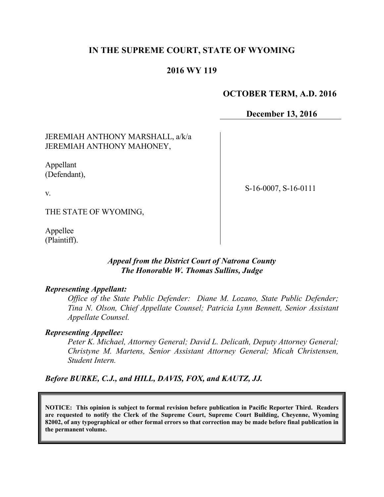# **IN THE SUPREME COURT, STATE OF WYOMING**

## **2016 WY 119**

#### **OCTOBER TERM, A.D. 2016**

**December 13, 2016**

### JEREMIAH ANTHONY MARSHALL, a/k/a JEREMIAH ANTHONY MAHONEY,

Appellant (Defendant),

v.

S-16-0007, S-16-0111

THE STATE OF WYOMING,

Appellee (Plaintiff).

#### *Appeal from the District Court of Natrona County The Honorable W. Thomas Sullins, Judge*

#### *Representing Appellant:*

*Office of the State Public Defender: Diane M. Lozano, State Public Defender; Tina N. Olson, Chief Appellate Counsel; Patricia Lynn Bennett, Senior Assistant Appellate Counsel.*

#### *Representing Appellee:*

*Peter K. Michael, Attorney General; David L. Delicath, Deputy Attorney General; Christyne M. Martens, Senior Assistant Attorney General; Micah Christensen, Student Intern.* 

*Before BURKE, C.J., and HILL, DAVIS, FOX, and KAUTZ, JJ.*

**NOTICE: This opinion is subject to formal revision before publication in Pacific Reporter Third. Readers are requested to notify the Clerk of the Supreme Court, Supreme Court Building, Cheyenne, Wyoming 82002, of any typographical or other formal errors so that correction may be made before final publication in the permanent volume.**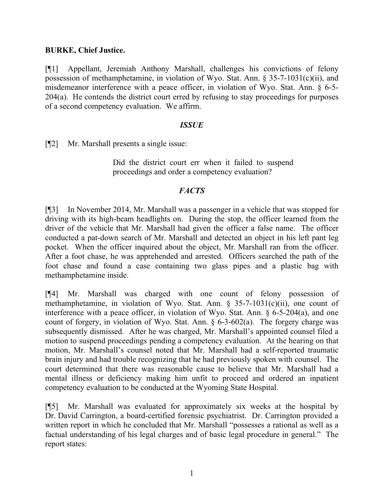## **BURKE, Chief Justice.**

[¶1] Appellant, Jeremiah Anthony Marshall, challenges his convictions of felony possession of methamphetamine, in violation of Wyo. Stat. Ann. § 35-7-1031(c)(ii), and misdemeanor interference with a peace officer, in violation of Wyo. Stat. Ann. § 6-5- 204(a). He contends the district court erred by refusing to stay proceedings for purposes of a second competency evaluation. We affirm.

### *ISSUE*

[¶2] Mr. Marshall presents a single issue:

Did the district court err when it failed to suspend proceedings and order a competency evaluation?

# *FACTS*

[¶3] In November 2014, Mr. Marshall was a passenger in a vehicle that was stopped for driving with its high-beam headlights on. During the stop, the officer learned from the driver of the vehicle that Mr. Marshall had given the officer a false name. The officer conducted a pat-down search of Mr. Marshall and detected an object in his left pant leg pocket. When the officer inquired about the object, Mr. Marshall ran from the officer. After a foot chase, he was apprehended and arrested. Officers searched the path of the foot chase and found a case containing two glass pipes and a plastic bag with methamphetamine inside.

[¶4] Mr. Marshall was charged with one count of felony possession of methamphetamine, in violation of Wyo. Stat. Ann.  $\S$  35-7-1031(c)(ii), one count of interference with a peace officer, in violation of Wyo. Stat. Ann. § 6-5-204(a), and one count of forgery, in violation of Wyo. Stat. Ann. § 6-3-602(a). The forgery charge was subsequently dismissed. After he was charged, Mr. Marshall's appointed counsel filed a motion to suspend proceedings pending a competency evaluation. At the hearing on that motion, Mr. Marshall's counsel noted that Mr. Marshall had a self-reported traumatic brain injury and had trouble recognizing that he had previously spoken with counsel. The court determined that there was reasonable cause to believe that Mr. Marshall had a mental illness or deficiency making him unfit to proceed and ordered an inpatient competency evaluation to be conducted at the Wyoming State Hospital.

[¶5] Mr. Marshall was evaluated for approximately six weeks at the hospital by Dr. David Carrington, a board-certified forensic psychiatrist. Dr. Carrington provided a written report in which he concluded that Mr. Marshall "possesses a rational as well as a factual understanding of his legal charges and of basic legal procedure in general." The report states: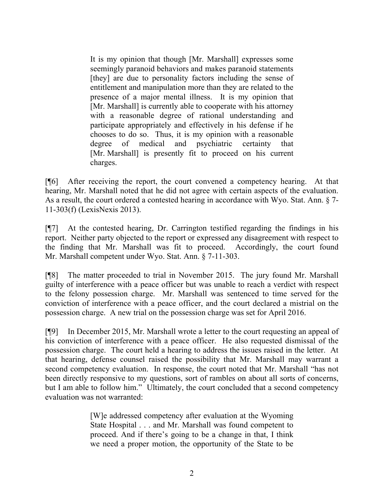It is my opinion that though [Mr. Marshall] expresses some seemingly paranoid behaviors and makes paranoid statements [they] are due to personality factors including the sense of entitlement and manipulation more than they are related to the presence of a major mental illness. It is my opinion that [Mr. Marshall] is currently able to cooperate with his attorney with a reasonable degree of rational understanding and participate appropriately and effectively in his defense if he chooses to do so. Thus, it is my opinion with a reasonable degree of medical and psychiatric certainty that [Mr. Marshall] is presently fit to proceed on his current charges.

[¶6] After receiving the report, the court convened a competency hearing. At that hearing, Mr. Marshall noted that he did not agree with certain aspects of the evaluation. As a result, the court ordered a contested hearing in accordance with Wyo. Stat. Ann. § 7- 11-303(f) (LexisNexis 2013).

[¶7] At the contested hearing, Dr. Carrington testified regarding the findings in his report. Neither party objected to the report or expressed any disagreement with respect to the finding that Mr. Marshall was fit to proceed. Accordingly, the court found Mr. Marshall competent under Wyo. Stat. Ann. § 7-11-303.

[¶8] The matter proceeded to trial in November 2015. The jury found Mr. Marshall guilty of interference with a peace officer but was unable to reach a verdict with respect to the felony possession charge. Mr. Marshall was sentenced to time served for the conviction of interference with a peace officer, and the court declared a mistrial on the possession charge. A new trial on the possession charge was set for April 2016.

[¶9] In December 2015, Mr. Marshall wrote a letter to the court requesting an appeal of his conviction of interference with a peace officer. He also requested dismissal of the possession charge. The court held a hearing to address the issues raised in the letter. At that hearing, defense counsel raised the possibility that Mr. Marshall may warrant a second competency evaluation. In response, the court noted that Mr. Marshall "has not been directly responsive to my questions, sort of rambles on about all sorts of concerns, but I am able to follow him." Ultimately, the court concluded that a second competency evaluation was not warranted:

> [W]e addressed competency after evaluation at the Wyoming State Hospital . . . and Mr. Marshall was found competent to proceed. And if there's going to be a change in that, I think we need a proper motion, the opportunity of the State to be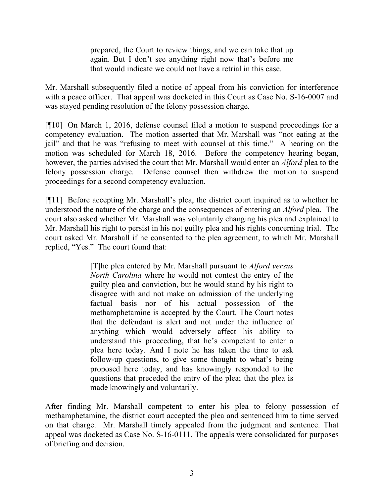prepared, the Court to review things, and we can take that up again. But I don't see anything right now that's before me that would indicate we could not have a retrial in this case.

Mr. Marshall subsequently filed a notice of appeal from his conviction for interference with a peace officer. That appeal was docketed in this Court as Case No. S-16-0007 and was stayed pending resolution of the felony possession charge.

[¶10] On March 1, 2016, defense counsel filed a motion to suspend proceedings for a competency evaluation. The motion asserted that Mr. Marshall was "not eating at the jail" and that he was "refusing to meet with counsel at this time." A hearing on the motion was scheduled for March 18, 2016. Before the competency hearing began, however, the parties advised the court that Mr. Marshall would enter an *Alford* plea to the felony possession charge. Defense counsel then withdrew the motion to suspend proceedings for a second competency evaluation.

[¶11] Before accepting Mr. Marshall's plea, the district court inquired as to whether he understood the nature of the charge and the consequences of entering an *Alford* plea. The court also asked whether Mr. Marshall was voluntarily changing his plea and explained to Mr. Marshall his right to persist in his not guilty plea and his rights concerning trial. The court asked Mr. Marshall if he consented to the plea agreement, to which Mr. Marshall replied, "Yes." The court found that:

> [T]he plea entered by Mr. Marshall pursuant to *Alford versus North Carolina* where he would not contest the entry of the guilty plea and conviction, but he would stand by his right to disagree with and not make an admission of the underlying factual basis nor of his actual possession of the methamphetamine is accepted by the Court. The Court notes that the defendant is alert and not under the influence of anything which would adversely affect his ability to understand this proceeding, that he's competent to enter a plea here today. And I note he has taken the time to ask follow-up questions, to give some thought to what's being proposed here today, and has knowingly responded to the questions that preceded the entry of the plea; that the plea is made knowingly and voluntarily.

After finding Mr. Marshall competent to enter his plea to felony possession of methamphetamine, the district court accepted the plea and sentenced him to time served on that charge. Mr. Marshall timely appealed from the judgment and sentence. That appeal was docketed as Case No. S-16-0111. The appeals were consolidated for purposes of briefing and decision.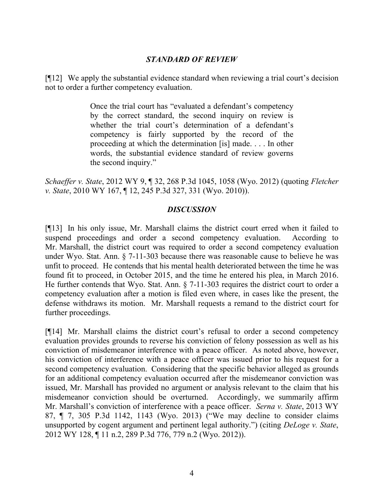## *STANDARD OF REVIEW*

[¶12] We apply the substantial evidence standard when reviewing a trial court's decision not to order a further competency evaluation.

> Once the trial court has "evaluated a defendant's competency by the correct standard, the second inquiry on review is whether the trial court's determination of a defendant's competency is fairly supported by the record of the proceeding at which the determination [is] made. . . . In other words, the substantial evidence standard of review governs the second inquiry."

*Schaeffer v. State*, 2012 WY 9, ¶ 32, 268 P.3d 1045, 1058 (Wyo. 2012) (quoting *Fletcher v. State*, 2010 WY 167, ¶ 12, 245 P.3d 327, 331 (Wyo. 2010)).

## *DISCUSSION*

[¶13] In his only issue, Mr. Marshall claims the district court erred when it failed to suspend proceedings and order a second competency evaluation. According to Mr. Marshall, the district court was required to order a second competency evaluation under Wyo. Stat. Ann. § 7-11-303 because there was reasonable cause to believe he was unfit to proceed. He contends that his mental health deteriorated between the time he was found fit to proceed, in October 2015, and the time he entered his plea, in March 2016. He further contends that Wyo. Stat. Ann. § 7-11-303 requires the district court to order a competency evaluation after a motion is filed even where, in cases like the present, the defense withdraws its motion. Mr. Marshall requests a remand to the district court for further proceedings.

[¶14] Mr. Marshall claims the district court's refusal to order a second competency evaluation provides grounds to reverse his conviction of felony possession as well as his conviction of misdemeanor interference with a peace officer. As noted above, however, his conviction of interference with a peace officer was issued prior to his request for a second competency evaluation. Considering that the specific behavior alleged as grounds for an additional competency evaluation occurred after the misdemeanor conviction was issued, Mr. Marshall has provided no argument or analysis relevant to the claim that his misdemeanor conviction should be overturned. Accordingly, we summarily affirm Mr. Marshall's conviction of interference with a peace officer. *Serna v. State*, 2013 WY 87, ¶ 7, 305 P.3d 1142, 1143 (Wyo. 2013) ("We may decline to consider claims unsupported by cogent argument and pertinent legal authority.") (citing *DeLoge v. State*, 2012 WY 128, ¶ 11 n.2, 289 P.3d 776, 779 n.2 (Wyo. 2012)).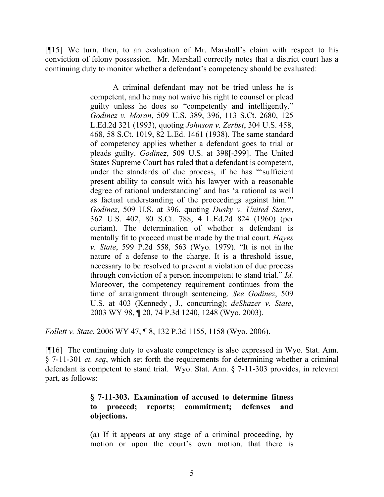[¶15] We turn, then, to an evaluation of Mr. Marshall's claim with respect to his conviction of felony possession. Mr. Marshall correctly notes that a district court has a continuing duty to monitor whether a defendant's competency should be evaluated:

> A criminal defendant may not be tried unless he is competent, and he may not waive his right to counsel or plead guilty unless he does so "competently and intelligently." *Godinez v. Moran*, 509 U.S. 389, 396, 113 S.Ct. 2680, 125 L.Ed.2d 321 (1993), quoting *Johnson v. Zerbst*, 304 U.S. 458, 468, 58 S.Ct. 1019, 82 L.Ed. 1461 (1938). The same standard of competency applies whether a defendant goes to trial or pleads guilty. *Godinez*, 509 U.S. at 398[-399]. The United States Supreme Court has ruled that a defendant is competent, under the standards of due process, if he has "'sufficient present ability to consult with his lawyer with a reasonable degree of rational understanding' and has 'a rational as well as factual understanding of the proceedings against him.'" *Godinez*, 509 U.S. at 396, quoting *Dusky v. United States*, 362 U.S. 402, 80 S.Ct. 788, 4 L.Ed.2d 824 (1960) (per curiam). The determination of whether a defendant is mentally fit to proceed must be made by the trial court. *Hayes v. State*, 599 P.2d 558, 563 (Wyo. 1979). "It is not in the nature of a defense to the charge. It is a threshold issue, necessary to be resolved to prevent a violation of due process through conviction of a person incompetent to stand trial." *Id.* Moreover, the competency requirement continues from the time of arraignment through sentencing. *See Godinez*, 509 U.S. at 403 (Kennedy , J., concurring); *deShazer v. State*, 2003 WY 98, ¶ 20, 74 P.3d 1240, 1248 (Wyo. 2003).

*Follett v. State*, 2006 WY 47, ¶ 8, 132 P.3d 1155, 1158 (Wyo. 2006).

[¶16] The continuing duty to evaluate competency is also expressed in Wyo. Stat. Ann. § 7-11-301 *et. seq*, which set forth the requirements for determining whether a criminal defendant is competent to stand trial. Wyo. Stat. Ann. § 7-11-303 provides, in relevant part, as follows:

## **§ 7-11-303. Examination of accused to determine fitness to proceed; reports; commitment; defenses and objections.**

(a) If it appears at any stage of a criminal proceeding, by motion or upon the court's own motion, that there is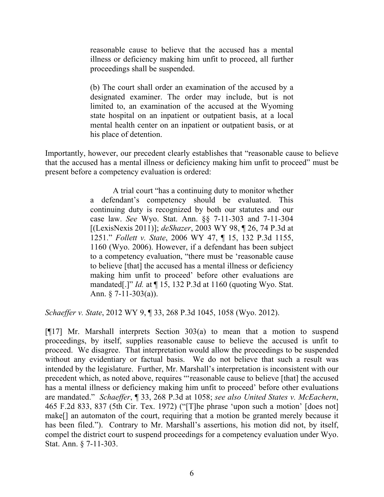reasonable cause to believe that the accused has a mental illness or deficiency making him unfit to proceed, all further proceedings shall be suspended.

(b) The court shall order an examination of the accused by a designated examiner. The order may include, but is not limited to, an examination of the accused at the Wyoming state hospital on an inpatient or outpatient basis, at a local mental health center on an inpatient or outpatient basis, or at his place of detention.

Importantly, however, our precedent clearly establishes that "reasonable cause to believe that the accused has a mental illness or deficiency making him unfit to proceed" must be present before a competency evaluation is ordered:

> A trial court "has a continuing duty to monitor whether a defendant's competency should be evaluated. This continuing duty is recognized by both our statutes and our case law. *See* Wyo. Stat. Ann. §§ 7-11-303 and 7-11-304 [(LexisNexis 2011)]; *deShazer*, 2003 WY 98, ¶ 26, 74 P.3d at 1251." *Follett v. State*, 2006 WY 47, ¶ 15, 132 P.3d 1155, 1160 (Wyo. 2006). However, if a defendant has been subject to a competency evaluation, "there must be 'reasonable cause to believe [that] the accused has a mental illness or deficiency making him unfit to proceed' before other evaluations are mandated[.]" *Id.* at ¶ 15, 132 P.3d at 1160 (quoting Wyo. Stat. Ann.  $\S$  7-11-303(a)).

*Schaeffer v. State*, 2012 WY 9, ¶ 33, 268 P.3d 1045, 1058 (Wyo. 2012).

[¶17] Mr. Marshall interprets Section 303(a) to mean that a motion to suspend proceedings, by itself, supplies reasonable cause to believe the accused is unfit to proceed. We disagree. That interpretation would allow the proceedings to be suspended without any evidentiary or factual basis. We do not believe that such a result was intended by the legislature. Further, Mr. Marshall's interpretation is inconsistent with our precedent which, as noted above, requires "'reasonable cause to believe [that] the accused has a mental illness or deficiency making him unfit to proceed' before other evaluations are mandated." *Schaeffer*, ¶ 33, 268 P.3d at 1058; *see also United States v. McEachern*, 465 F.2d 833, 837 (5th Cir. Tex. 1972) ("[T]he phrase 'upon such a motion' [does not] make[] an automaton of the court, requiring that a motion be granted merely because it has been filed."). Contrary to Mr. Marshall's assertions, his motion did not, by itself, compel the district court to suspend proceedings for a competency evaluation under Wyo. Stat. Ann. § 7-11-303.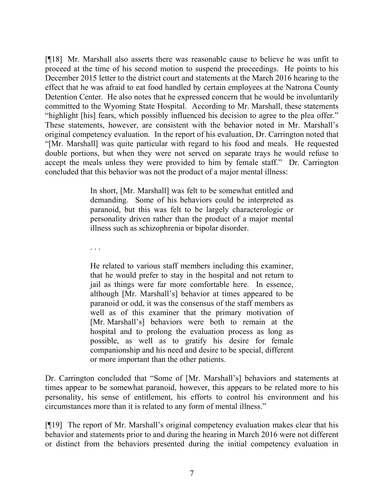[¶18] Mr. Marshall also asserts there was reasonable cause to believe he was unfit to proceed at the time of his second motion to suspend the proceedings. He points to his December 2015 letter to the district court and statements at the March 2016 hearing to the effect that he was afraid to eat food handled by certain employees at the Natrona County Detention Center. He also notes that he expressed concern that he would be involuntarily committed to the Wyoming State Hospital. According to Mr. Marshall, these statements "highlight [his] fears, which possibly influenced his decision to agree to the plea offer." These statements, however, are consistent with the behavior noted in Mr. Marshall's original competency evaluation. In the report of his evaluation, Dr. Carrington noted that "[Mr. Marshall] was quite particular with regard to his food and meals. He requested double portions, but when they were not served on separate trays he would refuse to accept the meals unless they were provided to him by female staff." Dr. Carrington concluded that this behavior was not the product of a major mental illness:

> In short, [Mr. Marshall] was felt to be somewhat entitled and demanding. Some of his behaviors could be interpreted as paranoid, but this was felt to be largely characterologic or personality driven rather than the product of a major mental illness such as schizophrenia or bipolar disorder.

. . .

He related to various staff members including this examiner, that he would prefer to stay in the hospital and not return to jail as things were far more comfortable here. In essence, although [Mr. Marshall's] behavior at times appeared to be paranoid or odd, it was the consensus of the staff members as well as of this examiner that the primary motivation of [Mr. Marshall's] behaviors were both to remain at the hospital and to prolong the evaluation process as long as possible, as well as to gratify his desire for female companionship and his need and desire to be special, different or more important than the other patients.

Dr. Carrington concluded that "Some of [Mr. Marshall's] behaviors and statements at times appear to be somewhat paranoid, however, this appears to be related more to his personality, his sense of entitlement, his efforts to control his environment and his circumstances more than it is related to any form of mental illness."

[¶19] The report of Mr. Marshall's original competency evaluation makes clear that his behavior and statements prior to and during the hearing in March 2016 were not different or distinct from the behaviors presented during the initial competency evaluation in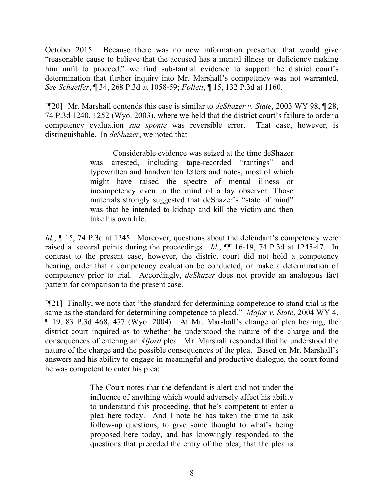October 2015. Because there was no new information presented that would give "reasonable cause to believe that the accused has a mental illness or deficiency making him unfit to proceed," we find substantial evidence to support the district court's determination that further inquiry into Mr. Marshall's competency was not warranted. *See Schaeffer*, ¶ 34, 268 P.3d at 1058-59; *Follett*, ¶ 15, 132 P.3d at 1160.

[¶20] Mr. Marshall contends this case is similar to *deShazer v. State*, 2003 WY 98, ¶ 28, 74 P.3d 1240, 1252 (Wyo. 2003), where we held that the district court's failure to order a competency evaluation *sua sponte* was reversible error. That case, however, is distinguishable. In *deShazer*, we noted that

> Considerable evidence was seized at the time deShazer was arrested, including tape-recorded "rantings" and typewritten and handwritten letters and notes, most of which might have raised the spectre of mental illness or incompetency even in the mind of a lay observer. Those materials strongly suggested that deShazer's "state of mind" was that he intended to kidnap and kill the victim and then take his own life.

*Id.*,  $\P$  15, 74 P.3d at 1245. Moreover, questions about the defendant's competency were raised at several points during the proceedings. *Id.*, **[1**] 16-19, 74 P.3d at 1245-47. In contrast to the present case, however, the district court did not hold a competency hearing, order that a competency evaluation be conducted, or make a determination of competency prior to trial. Accordingly, *deShazer* does not provide an analogous fact pattern for comparison to the present case.

[¶21] Finally, we note that "the standard for determining competence to stand trial is the same as the standard for determining competence to plead." *Major v. State*, 2004 WY 4, ¶ 19, 83 P.3d 468, 477 (Wyo. 2004). At Mr. Marshall's change of plea hearing, the district court inquired as to whether he understood the nature of the charge and the consequences of entering an *Alford* plea. Mr. Marshall responded that he understood the nature of the charge and the possible consequences of the plea. Based on Mr. Marshall's answers and his ability to engage in meaningful and productive dialogue, the court found he was competent to enter his plea:

> The Court notes that the defendant is alert and not under the influence of anything which would adversely affect his ability to understand this proceeding, that he's competent to enter a plea here today. And I note he has taken the time to ask follow-up questions, to give some thought to what's being proposed here today, and has knowingly responded to the questions that preceded the entry of the plea; that the plea is